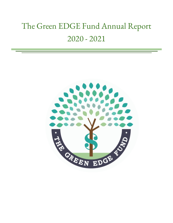# The Green EDGE Fund Annual Report 2020 - 2021

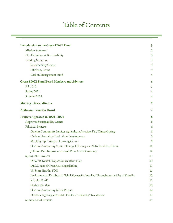# Table of Contents

| <b>Introduction to the Green EDGE Fund</b>                                           | 3  |
|--------------------------------------------------------------------------------------|----|
| <b>Mission Statement</b>                                                             | 3  |
| Our Definition of Sustainability                                                     | 3  |
| <b>Funding Structure</b>                                                             | 3  |
| <b>Sustainability Grants</b>                                                         | 4  |
| <b>Efficiency Loans</b>                                                              | 4  |
| Carbon Management Fund                                                               | 4  |
| <b>Green EDGE Fund Board Members and Advisors</b>                                    | 5  |
| <b>Fall 2020</b>                                                                     | 5  |
| Spring 2021                                                                          | 6  |
| Summer 2021                                                                          | 6  |
| <b>Meeting Times, Minutes</b>                                                        | 7  |
| A Message From the Board                                                             | 7  |
| Projects Approved in 2020 - 2021                                                     | 8  |
| <b>Approved Sustainability Grants</b>                                                | 8  |
| Fall 2020 Projects                                                                   | 8  |
| Oberlin Community Services Agriculture Associate Fall/Winter/Spring                  | 8  |
| <b>Carbon Neutrality Curriculum Development</b>                                      | 9  |
| Maple Syrup Ecological Learning Center                                               | 9  |
| Oberlin Community Services Energy Efficiency and Solar Panel Installation            | 10 |
| Johnson Path Improvements and Plum Creek Greenway                                    | 10 |
| Spring 2021 Projects                                                                 | 11 |
| POWER Rental Properties Incentives Pilot                                             | 11 |
| OECC School Greenhouse Installation                                                  | 11 |
| Vel Scott Healthy YOU                                                                | 12 |
| Environmental Dashboard Digital Signage for Installed Throughout the City of Oberlin | 13 |
| Solar for Pre-K                                                                      | 13 |
| Grafton Garden                                                                       | 13 |
| Oberlin Community Mural Project                                                      | 14 |
| Outdoor Lighting at Kendal: The First "Dark Sky" Installation                        | 14 |
| Summer 2021 Projects                                                                 | 15 |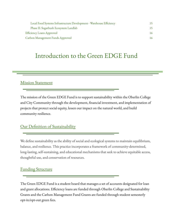| Local Food Systems Infrastructure Development - Warehouse Efficiency | 15. |
|----------------------------------------------------------------------|-----|
| Phase II: Sugarbush Ecosystem Landlab                                | 15. |
| <b>Efficiency Loans Approved</b>                                     | 16  |
| Carbon Management Funds Approved                                     | 16  |

# Introduction to the Green EDGE Fund

# <span id="page-2-0"></span>**Mission Statement**

The mission of the Green EDGE Fund is to support sustainability within the Oberlin College and City Community through the development, financial investment, and implementation of projects that protect social equity, lessen our impact on the natural world, and build community resilience.

# <span id="page-2-1"></span>Our Definition of Sustainability

We define sustainability as the ability of social and ecological systems to maintain equilibrium, balance, and resilience. This practice incorporates a framework of community-determined, long-lasting, self-sustaining, and educational mechanisms that seek to achieve equitable access, thoughtful use, and conservation of resources.

# <span id="page-2-2"></span>Funding Structure

The Green EDGE Fund is a student board that manages a set of accounts designated for loan and grant allocations. Efficiency loans are funded through Oberlin College and Sustainability Grants and the Carbon Management Fund Grants are funded through student semesterly opt-in/opt-out green fees.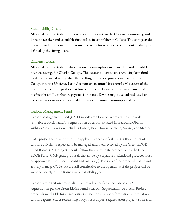#### <span id="page-3-0"></span>Sustainability Grants

Allocated to projects that promote sustainability within the Oberlin Community, and do not have clear and calculable financial savings for Oberlin College. These projects do not necessarily result in direct resource use reductions but do promote sustainability as defined by the sitting board.

#### <span id="page-3-1"></span>Efficiency Loans

Allocated to projects that reduce resource consumption and have clear and calculable financial savings for Oberlin College. This account operates on a revolving loan fund model; all financial savings directly resulting from these projects are paid by Oberlin College into the Efficiency Loan Account on an annual basis until 150 percent of the initial investment is repaid so that further loans can be made. Efficiency loans must be in effect for a full year before payback is initiated. Savings may be calculated based on conservative estimates or measurable changes in resource consumption data.

#### <span id="page-3-2"></span>Carbon Management Fund

Carbon Management Fund (CMF) awards are allocated to projects that provide verifiable reduction and/or sequestration of carbon situated in or around Oberlin within a 6-county region including Lorain, Erie, Huron, Ashland, Wayne, and Medina.

CMF projects are developed by the applicant, capable of calculating the amount of carbon equivalents expected to be managed, and then reviewed by the Green EDGE Fund Board. CMF projects should follow the appropriate protocol set by the Green EDGE Fund. CMF grant proposals that abide by a separate institutional protocol must be approved by the Student Board and Advisor(s). Portions of the proposal that do not actively manage CO2e, but are still constitutive to the operations of the project will be voted separately by the Board as a Sustainability grant.

Carbon sequestration proposals must provide a verifiable increase in CO2e sequestration per the Green EDGE Fund's Carbon Sequestration Protocol. Project proposals are eligible for all sequestration methods such as reforestation, afforestation, carbon capture, etc. A researching body must support sequestration projects, such as an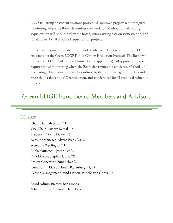ENVS101 group or student capstone project. All approved projects require regular monitoring where the Board determines the standards. Methods on calculating sequestration will be outlined by the Board, using existing data on sequestration, and standardized for all proposed sequestration projects.

Carbon reduction proposals must provide verifiable reduction or disuse of CO2e emissions per the Green EDGE Fund's Carbon Reduction Protocol. The Board will review the CO2e calculations submitted by the applicant(s). All approved projects require regular monitoring where the Board determines the standards. Methods on calculating CO2e reductions will be outlined by the Board, using existing data and research on calculating CO2e reduction, and standardized for all proposed reduction projects.

# <span id="page-4-1"></span><span id="page-4-0"></span>Green EDGE Fund Board Members and Advisors

#### Fall 2020

Chair: Hannah Scholl '21 Vice-Chair: Audrey Kamal '22 Treasurer: Noemi Duker '23 Account Manager: Alayna Bierly '21/22 Secretary: Wenling Li '21 Public Outreach: Justin Lee '22 OES Liaison: Stephan Ciulla '21 Project Generator: Nina Liloia '22 Community Liaison: Emily Rosenberg '21/22 Carbon Management Fund Liaison: Phoebe von Conta '22

Board Administrators: Ben Hobbs Administrative Advisors: Heidi Pycraft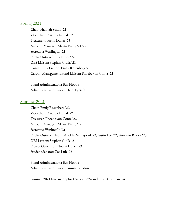#### <span id="page-5-0"></span>Spring 2021

Chair: Hannah Scholl '21 Vice-Chair: Audrey Kamal '22 Treasurer: Noemi Duker '23 Account Manager: Alayna Bierly '21/22 Secretary: Wenling Li '21 Public Outreach: Justin Lee '22 OES Liaison: Stephan Ciulla '21 Community Liaison: Emily Rosenberg '22 Carbon Management Fund Liaison: Phoebe von Conta '22

Board Administrators: Ben Hobbs Administrative Advisors: Heidi Pycraft

#### <span id="page-5-1"></span>Summer 2021

Chair: Emily Rosenberg '22 Vice-Chair: Audrey Kamal '22 Treasurer: Phoebe von Conta '22 Account Manager: Alayna Bierly '22 Secretary: Wenling Li '21 Public Outreach Team: Anokha Venugopal '23, Justin Lee '22, Sionnain Rudek '23 OES Liaison: Stephan Ciulla '21 Project Generator: Noemi Duker '23 Student Senator: Zoe Luh '22

Board Administrators: Ben Hobbs Administrative Advisors: Jasmin Grindon

Summer 2021 Interns: Sophia Cartsonis '24 and Saph Klearman '24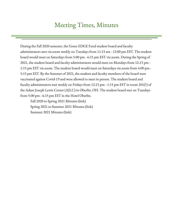# Meeting Times, Minutes

<span id="page-6-0"></span>During the Fall 2020 semester, the Green EDGE Fund student board and faculty administrators met via zoom weekly on Tuesdays from 11:15 am - 12:00 pm EST. The student board would meet on Saturdays from 5:00 pm - 6:15 pm EST via zoom. During the Spring of 2021, the student board and faculty administrators would meet on Mondays from 12:15 pm - 1:15 pm EST via zoom. The student board would meet on Saturdays via zoom from 4:00 pm - 5:15 pm EST. By the Summer of 2021, the student and faculty members of the board were vaccinated against Covid-19 and were allowed to meet in person. The student board and faculty administrators met weekly on Fridays from 12:15 pm - 1:15 pm EST in room 201(?) of the Adam Joseph Lewis Center (AJLC) in Oberlin, OH. The student board met on Tuesdays from 5:00 pm - 6:15 pm EST in the Hotel Oberlin.

Fall 2020 to Spring 2021 Minutes (link) Spring 2021 to Summer 2021 Minutes (link) Summer 2021 Minutes (link)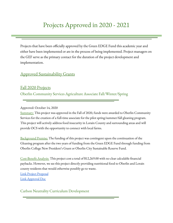# <span id="page-7-0"></span>Projects Approved in 2020 - 2021

Projects that have been officially approved by the Green EDGE Fund this academic year and either have been implemented or are in the process of being implemented. Project managers on the GEF serve as the primary contact for the duration of the project development and implementation.

#### <span id="page-7-1"></span>Approved Sustainability Grants

<span id="page-7-3"></span><span id="page-7-2"></span>Fall 2020 Projects Oberlin Community Services Agriculture Associate Fall/Winter/Spring

Approved: October 14, 2020

Summary: This project was approved in the Fall of 2020, funds were awarded to Oberlin Community Services for the creation of a full-time associate for the pilot spring/summer/fall gleaning program. This project will actively address food insecurity in Lorain County and surrounding areas and will provide OCS with the opportunity to connect with local farms.

Background Premise: The funding of this project was contingent upon the continuation of the Gleaning program after the two years of funding from the Green EDGE Fund through funding from Oberlin College New President's Grant or Oberlin City Sustainable Reserve Fund.

Cost-Benefit Analysis: This project cost a total of \$12,269.00 with no clear calculable financial paybacks. However, we see this project directly providing nutritional food to Oberlin and Lorain county residents that would otherwise possibly go to waste. Link Project [Proposal](https://docs.google.com/document/d/1qlx9kRCCBs__nVyUWU1oLAXAgtZXDNKKJGIUdRfphFs/edit?usp=sharing)

Link [Approval](https://drive.google.com/file/d/1PAM2qPndu2bkOzECu4RcwboFMoH-FDN6/view?usp=sharing) Doc

<span id="page-7-4"></span>Carbon Neutrality Curriculum Development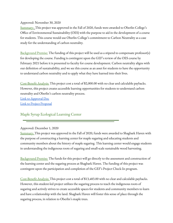#### Approved: November 30, 2020

Summary: This project was approved in the Fall of 2020, funds were awarded to Oberlin College's Office of Environmental Sustainability (OES) with the purpose to aid in the development of a course for students. This course would use Oberlin College's commitment to Carbon Neutrality as a case study for the understanding of carbon neutrality.

Background Premise: The funding of this project will be used as a stipend to compensate professor(s) for developing the course. Funding is contingent upon the GEF's review of the OES course by February 2021 before it is presented to faculty for course development. Carbon neutrality aligns with our definition of sustainability, and we see this course as an asset for students to have the opportunity to understand carbon neutrality and to apply what they have learned into their lives.

Cost-Benefit Analysis: This project cost a total of \$2,000.00 with no clear and calculable paybacks. However, this project creates accessible learning opportunities for students to understand carbon neutrality and Oberlin's carbon neutrality process.

Link to [Approval](https://drive.google.com/file/d/1NW_3zHGyc8esDsaa-bt7Mhnpbix9bwv0/view?usp=sharing) Doc Link to Project [Proposal](https://docs.google.com/document/d/14ue5fKFIX1ROWEk4Okro33bVjqNfrPDtVgnI1H4L7fA/edit)

### <span id="page-8-0"></span>Maple Syrup Ecological Learning Center

#### Approved: December 1, 2020

Summary: This project was approved in the Fall of 2020, funds were awarded to Shagbark Haven with the purpose of constructing a learning center for maple sugaring and educating students and community members about the history of maple sugaring. This learning center would engage students in understanding the indigenous roots of sugaring and small-scale sustainable wood harvesting.

Background Premise: The funds for this project will go directly to the assessment and construction of the learning center and the sugaring process at Shagbark Haven. The funding of this project was contingent upon the participation and completion of the GEF's Project Check-In program.

Cost-Benefit Analysis: This project cost a total of \$13,483.00 with no clear and calculable paybacks. However, this student-led project utilizes the sugaring process to teach the indigenous roots of sugaring and actively strives to create accessible spaces for students and community members to learn and have a relationship with the land. Shagbark Haven will foster this sense of place through the sugaring process, in relation to Oberlin's maple trees.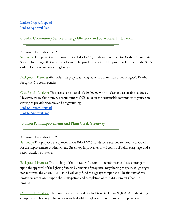### <span id="page-9-0"></span>Oberlin Community Services Energy Efficiency and Solar Panel Installation

#### Approved: December 1, 2020

Summary: This project was approved in the Fall of 2020, funds were awarded to Oberlin Community Services for energy efficiency upgrades and solar panel installation. This project will reduce both OCS's carbon footprint and operating budget.

Background Premise: We funded this project as it aligned with our mission of reducing OCS' carbon footprint. No contingencies.

Cost-Benefit Analysis: This project cost a total of \$10,000.00 with no clear and calculable paybacks. However, we see this project as paramount to OCS' mission as a sustainable community organization striving to provide resources and programming.

Link to Project [Proposal](https://docs.google.com/document/d/1NzTUF1HZQaTHGwjwTNtA376eIp5Ebzno/edit?usp=sharing&ouid=117618183423125577864&rtpof=true&sd=true)

Link to [Approval](https://drive.google.com/file/d/1cZHVuOUTg0WNUBmaZKjyzILn-wboIQyU/view?usp=sharing) Doc

### <span id="page-9-1"></span>Johnson Path Improvements and Plum Creek Greenway

#### Approved: December 8, 2020

Summary: This project was approved in the Fall of 2020, funds were awarded to the City of Oberlin for the improvements of Plum Creek Greenway. Improvements will consist of lighting, signage, and a reconstruction of the trail.

Background Premise: The funding of this project will occur on a reimbursement basis contingent upon the approval of the lighting fixtures by tenants of properties neighboring the path. If lighting is not approved, the Green EDGE Fund will only fund the signage component. The funding of this project was contingent upon the participation and completion of the GEF's Project Check-In program.

Cost-Benefit Analysis: This project came to a total of \$16,132.40 including \$3,000.00 for the signage component. This project has no clear and calculable paybacks, however, we see this project as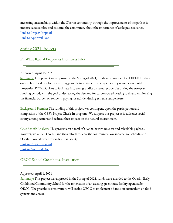increasing sustainability within the Oberlin community through the improvements of the path as it increases accessibility and educates the community about the importance of ecological resilience. Link to Project [Proposal](https://drive.google.com/file/d/0B31fVYnjp_9ocDdUcERSeDdYQWc1Wk96NTRPNU5XX085Q3Br/view?usp=sharing&resourcekey=0-CVV_-bB9NQE4GThskaoV6g) Link to [Approval](https://drive.google.com/file/d/1YvCWGmMg0_9RSdSMkJzoAWmzmEumiSwN/view?usp=sharing) Doc

### <span id="page-10-0"></span>Spring 2021 Projects

#### <span id="page-10-1"></span>POWER Rental Properties Incentives Pilot

#### Approved: April 15, 2021

Summary: This project was approved in the Spring of 2021, funds were awarded to POWER for their outreach to local landlords regarding possible incentives for energy efficiency upgrades in rental properties. POWER plans to facilitate fifty energy audits on rental properties during the two-year funding period, with the goal of decreasing the demand for carbon-based heating fuels and minimizing the financial burden on residents paying for utilities during extreme temperatures.

Background Premise: The funding of this project was contingent upon the participation and completion of the GEF's Project Check-In program. We support this project as it addresses social equity among renters and reduces their impact on the natural environment.

Cost-Benefit Analysis: This project cost a total of \$7,000.00 with no clear and calculable payback, however, we value POWER and their efforts to serve the community, low-income households, and Oberlin's overall work towards sustainability.

Link to Project [Proposal](https://drive.google.com/file/d/1wcTAqTJarYIKSeza4rBEYVz6KPLCIJNu/view?usp=sharing) Link to [Approval](https://docs.google.com/document/d/1YeTFKy8yr15BkS4YThhqbQ7lOckisLNjYDVmaOMKfkw/edit?usp=sharing) Doc

#### <span id="page-10-2"></span>OECC School Greenhouse Installation

#### Approved: April 1, 2021

Summary: This project was approved in the Spring of 2021, funds were awarded to the Oberlin Early Childhood Community School for the renovation of an existing greenhouse facility operated by OECC. The greenhouse renovations will enable OECC to implement a hands-on curriculum on food systems and access.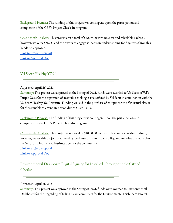Background Premise: The funding of this project was contingent upon the participation and completion of the GEF's Project Check-In program.

Cost-Benefit Analysis: This project cost a total of \$5,679.00 with no clear and calculable payback, however, we value OECC and their work to engage students in understanding food systems through a hands-on approach.

Link to Project [Proposal](https://drive.google.com/file/d/19LL3krbFNWEw3DGs71VvXyxrRM_BvGVc/view?usp=sharing) Link to [Approval](https://docs.google.com/document/d/1a_iD6vRw2c-lhln_Iza_9Y1Afwi11S06/edit?usp=sharing&ouid=117618183423125577864&rtpof=true&sd=true) Doc

#### <span id="page-11-0"></span>Vel Scott Healthy YOU

#### Approved: April 26, 2021

Summary: This project was approved in the Spring of 2021, funds were awarded to Vel Scott of Vel's Purple Oasis for the expansion of accessible cooking classes offered by Vel Scott in conjunction with the Vel Scott Healthy You Institute. Funding will aid in the purchase of equipment to offer virtual classes for those unable to attend in-person due to COVID-19.

Background Premise: The funding of this project was contingent upon the participation and completion of the GEF's Project Check-In program.

Cost-Benefit Analysis: This project cost a total of \$10,000.00 with no clear and calculable payback, however, we see this project as addressing food insecurity and accessibility, and we value the work that the Vel Scott Healthy You Institute does for the community. Link to Project [Proposal](https://docs.google.com/document/d/1eRq5MgWn2nd9ZU1BvMZdz2lui4sjqFszpW947xNLG0M/edit?usp=sharing) Link to [Approval](https://docs.google.com/document/d/1X-QWVT8tfli5HaNBj_2VpsavXhaesN5f/edit?usp=sharing&ouid=117618183423125577864&rtpof=true&sd=true) Doc

<span id="page-11-1"></span>Environmental Dashboard Digital Signage for Installed Throughout the City of Oberlin

Summary: This project was approved in the Spring of 2021, funds were awarded to Environmental Dashboard for the upgrading of failing player computers for the Environmental Dashboard Project.

Approved: April 26, 2021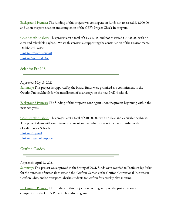Background Premise: The funding of this project was contingent on funds not to exceed \$14,000.00 and upon the participation and completion of the GEF's Project Check-In program.

Cost-Benefit Analysis: This project cost a total of \$13,947.48 and not to exceed \$14,000.00 with no clear and calculable payback. We see this project as supporting the continuation of the Environmental Dashboard Project.

Link to Project [Proposal](https://drive.google.com/file/d/1QwKbVjTD2u7RY8TgKmD2WMXre_rg1q2x/view?usp=sharing) Link to [Approval](https://docs.google.com/document/d/1jgsiN04kJTQTvenyzYjNmgZ9rVbS7y-1/edit?usp=sharing&ouid=117618183423125577864&rtpof=true&sd=true) Doc

<span id="page-12-0"></span>Solar for Pre-K-5

Approved: May 13, 2021

Summary: This project is supported by the board, funds were promised as a commitment to the Oberlin Public Schools for the installation of solar arrays on the new PreK-5 school.

Background Premise: The funding of this project is contingent upon the project beginning within the next two years.

Cost-Benefit Analysis: This project cost a total of \$10,000.00 with no clear and calculable paybacks. This project aligns with our mission statement and we value our continued relationship with the Oberlin Public Schools. Link to [Proposal](https://drive.google.com/file/d/1i2actuc8yCJgK0zi5L8IJi6ZFBLfiidv/view?usp=sharing) Link to Letter of [Support](https://docs.google.com/document/d/1bN75EaP6ivKHoBvUuaPYa5iZ8wh6HrICJCdkRXcyDwM/edit?usp=sharing)

#### <span id="page-12-1"></span>Grafton Garden

Approved: April 12, 2021

Summary: This project was approved in the Spring of 2021, funds were awarded to Professor Jay Fiskio for the purchase of materials to expand the Grafton Garden at the Grafton Correctional Institute in Grafton Ohio, and to transport Oberlin students to Grafton for a weekly class meeting.

Background Premise: The funding of this project was contingent upon the participation and completion of the GEF's Project Check-In program.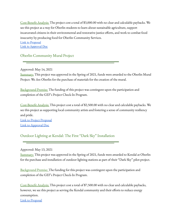Cost-Benefit Analysis: The project cost a total of \$3,000.00 with no clear and calculable paybacks. We see this project as a way for Oberlin students to learn about sustainable agriculture, support incarcerated citizens in their environmental and restorative justice efforts, and work to combat food insecurity by producing food for Oberlin Community Services. Link to [Proposal](https://docs.google.com/document/d/1TXofANEcTl1v8AbXv-LC-uyzUg8wPLS0/edit?usp=sharing&ouid=117618183423125577864&rtpof=true&sd=true)

Link to [Approval](https://docs.google.com/document/d/1fTp_jxm1h2k9cCmxHWMi9HJqSVb6JcNUP-RIbRQJF8A/edit?usp=sharing) Doc

<span id="page-13-0"></span>Oberlin Community Mural Project

Approved: May 14, 2021

Summary: This project was approved in the Spring of 2021, funds were awarded to the Oberlin Mural Project: We Are Oberlin for the purchase of materials for the creation of the mural.

Background Premise: The funding of this project was contingent upon the participation and completion of the GEF's Project Check-In Program.

Cost-Benefit Analysis: This project cost a total of \$2,500.00 with no clear and calculable paybacks. We see this project as supporting local community artists and fostering a sense of community resiliency and pride.

Link to Project [Proposal](https://drive.google.com/file/d/1PEwweptwiwjq9xkWDt-5TStCO6sEUXRJ/view?usp=sharing) Link to [Approval](https://docs.google.com/document/d/1x23GmRG3GjQ90eFdZOdrevqVw7wqzrvn5RD0PmPFvHo/edit?usp=sharing) Doc

<span id="page-13-1"></span>Outdoor Lighting at Kendal: The First "Dark Sky" Installation

Approved: May 13, 2021

Summary: This project was approved in the Spring of 2021, funds were awarded to Kendal at Oberlin for the purchase and installation of outdoor lighting stations as part of their "Dark Sky" pilot project.

Background Premise: The funding for this project was contingent upon the participation and completion of the GEF's Project Check-In Program.

Cost-Benefit Analysis: This project cost a total of \$7,500.00 with no clear and calculable paybacks, however, we see this project as serving the Kendal community and their efforts to reduce energy consumption.

Link to [Proposal](https://drive.google.com/file/d/1LJRzuxTreEeG86Yk1T4V9eNBpk00z5q5/view?usp=sharing)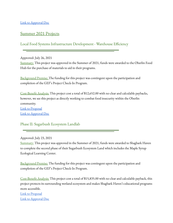### <span id="page-14-0"></span>Summer 2021 Projects

<span id="page-14-1"></span>Local Food Systems Infrastructure Development - Warehouse Efficiency

Approved: July 26, 2021

Summary: This project was approved in the Summer of 2021, funds were awarded to the Oberlin Food Hub for the purchase of materials to aid in their programs.

Background Premise: The funding for this project was contingent upon the participation and completion of the GEF's Project Check-In Program.

Cost-Benefit Analysis: This project cost a total of \$12,652.00 with no clear and calculable paybacks, however, we see this project as directly working to combat food insecurity within the Oberlin community. Link to [Proposal](https://drive.google.com/file/d/1Yzmt2O1sPmAljDKDpso9J-mSfrSsx_OX/view?usp=sharing) Link to [Approval](https://docs.google.com/document/d/1CuLkWLHK4AsbQuvZ3sboo1Uawua-8hjgLyF2FCgM_DY/edit?usp=sharing) Doc

<span id="page-14-2"></span>Phase II: Sugarbush Ecosystem Landlab

Approved: July 23, 2021

Summary: This project was approved in the Summer of 2021, funds were awarded to Shagbark Haven to complete the second phase of their Sugarbush Ecosystem Land which includes the Maple Syrup Ecological Learning Center.

Background Premise: The funding for this project was contingent upon the participation and completion of the GEF's Project Check-In Program.

Cost-Benefit Analysis: This project cost a total of \$15,835.00 with no clear and calculable payback, this project protects its surrounding wetland ecosystem and makes Shagbark Haven's educational programs more accessible.

Link to [Proposal](https://drive.google.com/file/d/1H4V6rByFc0Za3mlDGofnFYtqRGuXxkvj/view?usp=sharing) Link to [Approval](https://docs.google.com/document/d/1TKo0Zjvz5eLqfNPg6b_iXP89rp0B5PcPrEJFsTCmZCA/edit?usp=sharing) Doc